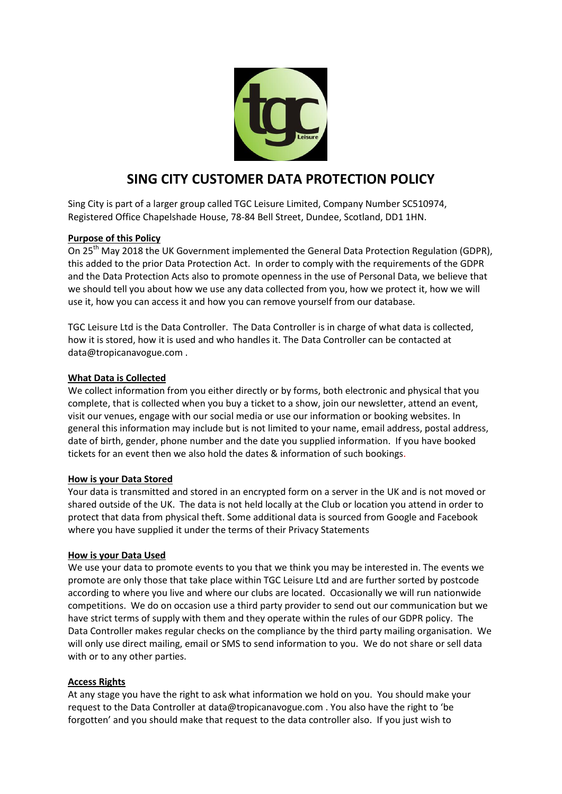

# **SING CITY CUSTOMER DATA PROTECTION POLICY**

Sing City is part of a larger group called TGC Leisure Limited, Company Number SC510974, Registered Office Chapelshade House, 78-84 Bell Street, Dundee, Scotland, DD1 1HN.

### **Purpose of this Policy**

On 25<sup>th</sup> May 2018 the UK Government implemented the General Data Protection Regulation (GDPR), this added to the prior Data Protection Act. In order to comply with the requirements of the GDPR and the Data Protection Acts also to promote openness in the use of Personal Data, we believe that we should tell you about how we use any data collected from you, how we protect it, how we will use it, how you can access it and how you can remove yourself from our database.

TGC Leisure Ltd is the Data Controller. The Data Controller is in charge of what data is collected, how it is stored, how it is used and who handles it. The Data Controller can be contacted at data@tropicanavogue.com .

#### **What Data is Collected**

We collect information from you either directly or by forms, both electronic and physical that you complete, that is collected when you buy a ticket to a show, join our newsletter, attend an event, visit our venues, engage with our social media or use our information or booking websites. In general this information may include but is not limited to your name, email address, postal address, date of birth, gender, phone number and the date you supplied information. If you have booked tickets for an event then we also hold the dates & information of such bookings.

#### **How is your Data Stored**

Your data is transmitted and stored in an encrypted form on a server in the UK and is not moved or shared outside of the UK. The data is not held locally at the Club or location you attend in order to protect that data from physical theft. Some additional data is sourced from Google and Facebook where you have supplied it under the terms of their Privacy Statements

#### **How is your Data Used**

We use your data to promote events to you that we think you may be interested in. The events we promote are only those that take place within TGC Leisure Ltd and are further sorted by postcode according to where you live and where our clubs are located. Occasionally we will run nationwide competitions. We do on occasion use a third party provider to send out our communication but we have strict terms of supply with them and they operate within the rules of our GDPR policy. The Data Controller makes regular checks on the compliance by the third party mailing organisation. We will only use direct mailing, email or SMS to send information to you. We do not share or sell data with or to any other parties.

#### **Access Rights**

At any stage you have the right to ask what information we hold on you. You should make your request to the Data Controller at data@tropicanavogue.com . You also have the right to 'be forgotten' and you should make that request to the data controller also. If you just wish to